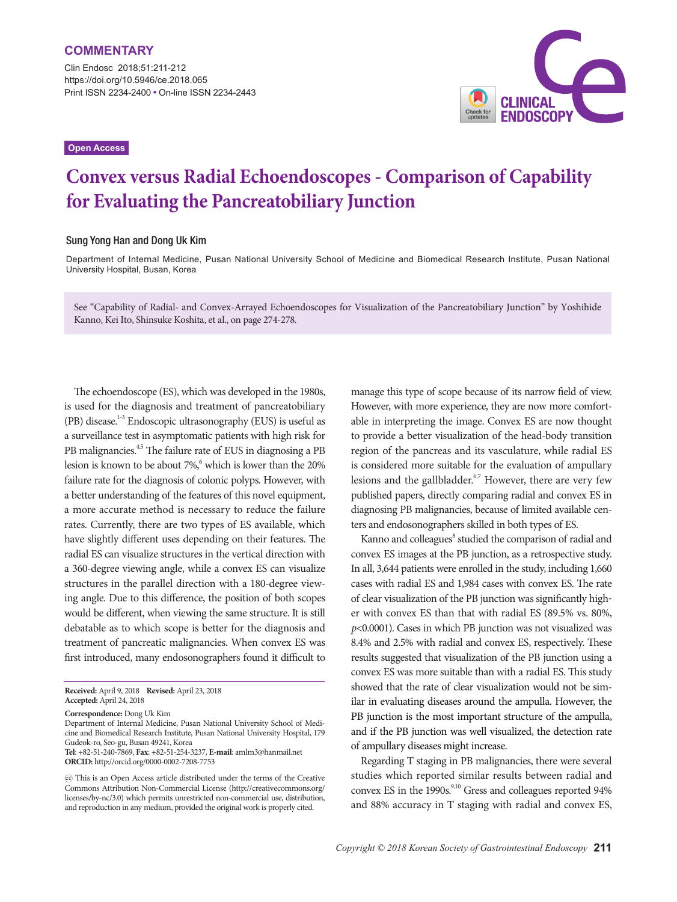Clin Endosc 2018;51:211-212 https://doi.org/10.5946/ce.2018.065 Print ISSN 2234-2400 • On-line ISSN 2234-2443

**Open Access**



## **Convex versus Radial Echoendoscopes - Comparison of Capability for Evaluating the Pancreatobiliary Junction**

## Sung Yong Han and Dong Uk Kim

Department of Internal Medicine, Pusan National University School of Medicine and Biomedical Research Institute, Pusan National University Hospital, Busan, Korea

See "Capability of Radial- and Convex-Arrayed Echoendoscopes for Visualization of the Pancreatobiliary Junction" by Yoshihide Kanno, Kei Ito, Shinsuke Koshita, et al., on page 274-278.

The echoendoscope (ES), which was developed in the 1980s, is used for the diagnosis and treatment of pancreatobiliary (PB) disease.<sup>1-3</sup> Endoscopic ultrasonography (EUS) is useful as a surveillance test in asymptomatic patients with high risk for PB malignancies.<sup>4,5</sup> The failure rate of EUS in diagnosing a PB lesion is known to be about 7%,<sup>6</sup> which is lower than the 20% failure rate for the diagnosis of colonic polyps. However, with a better understanding of the features of this novel equipment, a more accurate method is necessary to reduce the failure rates. Currently, there are two types of ES available, which have slightly different uses depending on their features. The radial ES can visualize structures in the vertical direction with a 360-degree viewing angle, while a convex ES can visualize structures in the parallel direction with a 180-degree viewing angle. Due to this difference, the position of both scopes would be different, when viewing the same structure. It is still debatable as to which scope is better for the diagnosis and treatment of pancreatic malignancies. When convex ES was first introduced, many endosonographers found it difficult to

**Correspondence:** Dong Uk Kim

Department of Internal Medicine, Pusan National University School of Medicine and Biomedical Research Institute, Pusan National University Hospital, 179 Gudeok-ro, Seo-gu, Busan 49241, Korea **Tel**: +82-51-240-7869, **Fax**: +82-51-254-3237, **E-mail**: amlm3@hanmail.net

**ORCID:** http://orcid.org/0000-0002-7208-7753

manage this type of scope because of its narrow field of view. However, with more experience, they are now more comfortable in interpreting the image. Convex ES are now thought to provide a better visualization of the head-body transition region of the pancreas and its vasculature, while radial ES is considered more suitable for the evaluation of ampullary lesions and the gallbladder.<sup>6,7</sup> However, there are very few published papers, directly comparing radial and convex ES in diagnosing PB malignancies, because of limited available centers and endosonographers skilled in both types of ES.

Kanno and colleagues<sup>8</sup> studied the comparison of radial and convex ES images at the PB junction, as a retrospective study. In all, 3,644 patients were enrolled in the study, including 1,660 cases with radial ES and 1,984 cases with convex ES. The rate of clear visualization of the PB junction was significantly higher with convex ES than that with radial ES (89.5% vs. 80%, *p*<0.0001). Cases in which PB junction was not visualized was 8.4% and 2.5% with radial and convex ES, respectively. These results suggested that visualization of the PB junction using a convex ES was more suitable than with a radial ES. This study showed that the rate of clear visualization would not be similar in evaluating diseases around the ampulla. However, the PB junction is the most important structure of the ampulla, and if the PB junction was well visualized, the detection rate of ampullary diseases might increase.

Regarding T staging in PB malignancies, there were several studies which reported similar results between radial and convex ES in the 1990s.<sup>9,10</sup> Gress and colleagues reported 94% and 88% accuracy in T staging with radial and convex ES,

**Received:** April 9, 2018 **Revised:** April 23, 2018 **Accepted:** April 24, 2018

cc This is an Open Access article distributed under the terms of the Creative Commons Attribution Non-Commercial License (http://creativecommons.org/ licenses/by-nc/3.0) which permits unrestricted non-commercial use, distribution, and reproduction in any medium, provided the original work is properly cited.